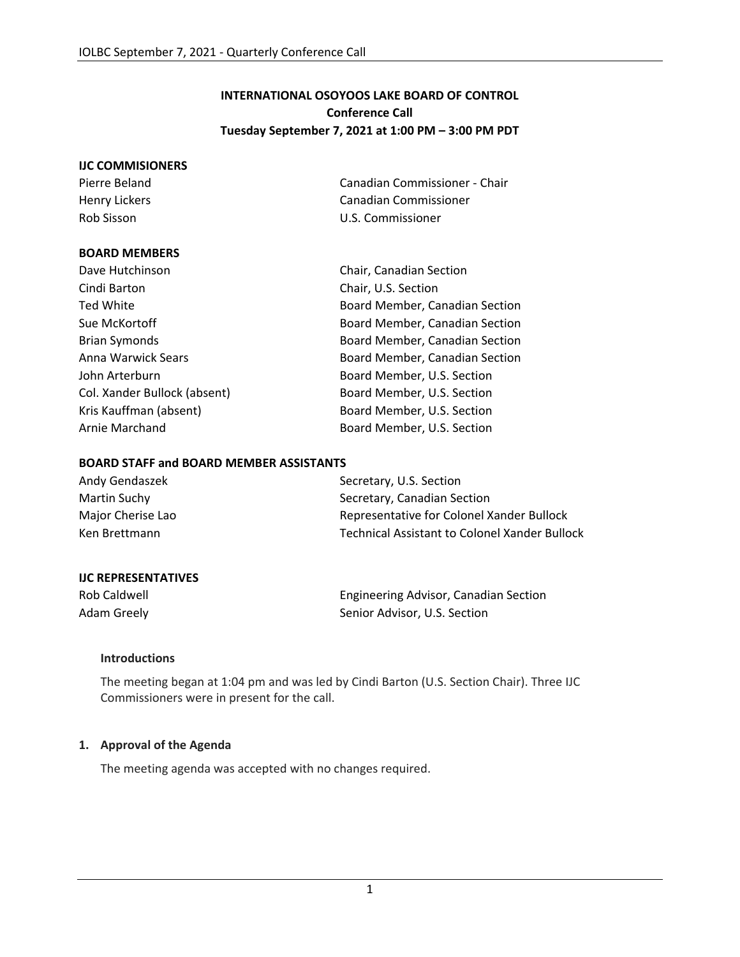# **INTERNATIONAL OSOYOOS LAKE BOARD OF CONTROL Conference Call Tuesday September 7, 2021 at 1:00 PM – 3:00 PM PDT**

#### **IJC COMMISIONERS**

Pierre Beland Canadian Commissioner - Chair Henry Lickers **Canadian Commissioner** Canadian Commissioner Rob Sisson U.S. Commissioner

#### **BOARD MEMBERS**

| Dave Hutchinson              | Chair, Canadian Section        |
|------------------------------|--------------------------------|
| Cindi Barton                 | Chair, U.S. Section            |
| Ted White                    | Board Member, Canadian Section |
| Sue McKortoff                | Board Member, Canadian Section |
| <b>Brian Symonds</b>         | Board Member, Canadian Section |
| Anna Warwick Sears           | Board Member, Canadian Section |
| John Arterburn               | Board Member, U.S. Section     |
| Col. Xander Bullock (absent) | Board Member, U.S. Section     |
| Kris Kauffman (absent)       | Board Member, U.S. Section     |
| Arnie Marchand               | Board Member, U.S. Section     |

#### **BOARD STAFF and BOARD MEMBER ASSISTANTS**

| Andy Gendaszek    | Secretary, U.S. Section                       |
|-------------------|-----------------------------------------------|
| Martin Suchy      | Secretary, Canadian Section                   |
| Major Cherise Lao | Representative for Colonel Xander Bullock     |
| Ken Brettmann     | Technical Assistant to Colonel Xander Bullock |

### **IJC REPRESENTATIVES**

Rob Caldwell **Engineering Advisor, Canadian Section** Adam Greely **Senior Advisor, U.S. Section** 

### **Introductions**

The meeting began at 1:04 pm and was led by Cindi Barton (U.S. Section Chair). Three IJC Commissioners were in present for the call.

### **1. Approval of the Agenda**

The meeting agenda was accepted with no changes required.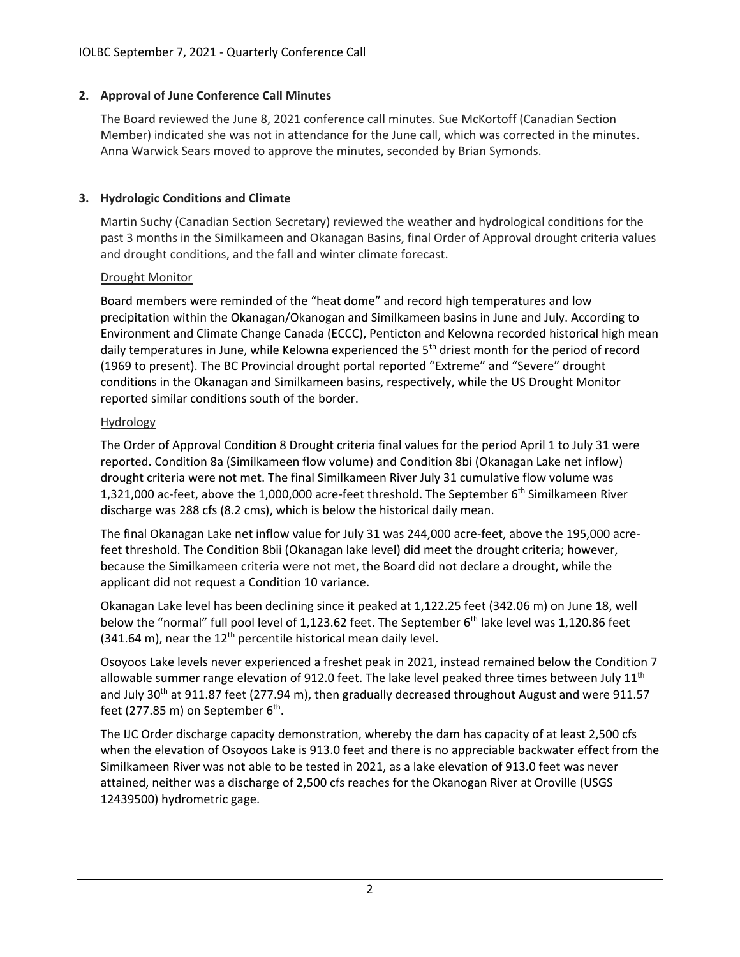## **2. Approval of June Conference Call Minutes**

The Board reviewed the June 8, 2021 conference call minutes. Sue McKortoff (Canadian Section Member) indicated she was not in attendance for the June call, which was corrected in the minutes. Anna Warwick Sears moved to approve the minutes, seconded by Brian Symonds.

## **3. Hydrologic Conditions and Climate**

Martin Suchy (Canadian Section Secretary) reviewed the weather and hydrological conditions for the past 3 months in the Similkameen and Okanagan Basins, final Order of Approval drought criteria values and drought conditions, and the fall and winter climate forecast.

### Drought Monitor

Board members were reminded of the "heat dome" and record high temperatures and low precipitation within the Okanagan/Okanogan and Similkameen basins in June and July. According to Environment and Climate Change Canada (ECCC), Penticton and Kelowna recorded historical high mean daily temperatures in June, while Kelowna experienced the 5<sup>th</sup> driest month for the period of record (1969 to present). The BC Provincial drought portal reported "Extreme" and "Severe" drought conditions in the Okanagan and Similkameen basins, respectively, while the US Drought Monitor reported similar conditions south of the border.

### Hydrology

The Order of Approval Condition 8 Drought criteria final values for the period April 1 to July 31 were reported. Condition 8a (Similkameen flow volume) and Condition 8bi (Okanagan Lake net inflow) drought criteria were not met. The final Similkameen River July 31 cumulative flow volume was 1,321,000 ac-feet, above the 1,000,000 acre-feet threshold. The September 6<sup>th</sup> Similkameen River discharge was 288 cfs (8.2 cms), which is below the historical daily mean.

The final Okanagan Lake net inflow value for July 31 was 244,000 acre-feet, above the 195,000 acrefeet threshold. The Condition 8bii (Okanagan lake level) did meet the drought criteria; however, because the Similkameen criteria were not met, the Board did not declare a drought, while the applicant did not request a Condition 10 variance.

Okanagan Lake level has been declining since it peaked at 1,122.25 feet (342.06 m) on June 18, well below the "normal" full pool level of 1,123.62 feet. The September 6<sup>th</sup> lake level was 1,120.86 feet  $(341.64 \text{ m})$ , near the  $12^{\text{th}}$  percentile historical mean daily level.

Osoyoos Lake levels never experienced a freshet peak in 2021, instead remained below the Condition 7 allowable summer range elevation of 912.0 feet. The lake level peaked three times between July  $11<sup>th</sup>$ and July 30<sup>th</sup> at 911.87 feet (277.94 m), then gradually decreased throughout August and were 911.57 feet (277.85 m) on September 6<sup>th</sup>.

The IJC Order discharge capacity demonstration, whereby the dam has capacity of at least 2,500 cfs when the elevation of Osoyoos Lake is 913.0 feet and there is no appreciable backwater effect from the Similkameen River was not able to be tested in 2021, as a lake elevation of 913.0 feet was never attained, neither was a discharge of 2,500 cfs reaches for the Okanogan River at Oroville (USGS 12439500) hydrometric gage.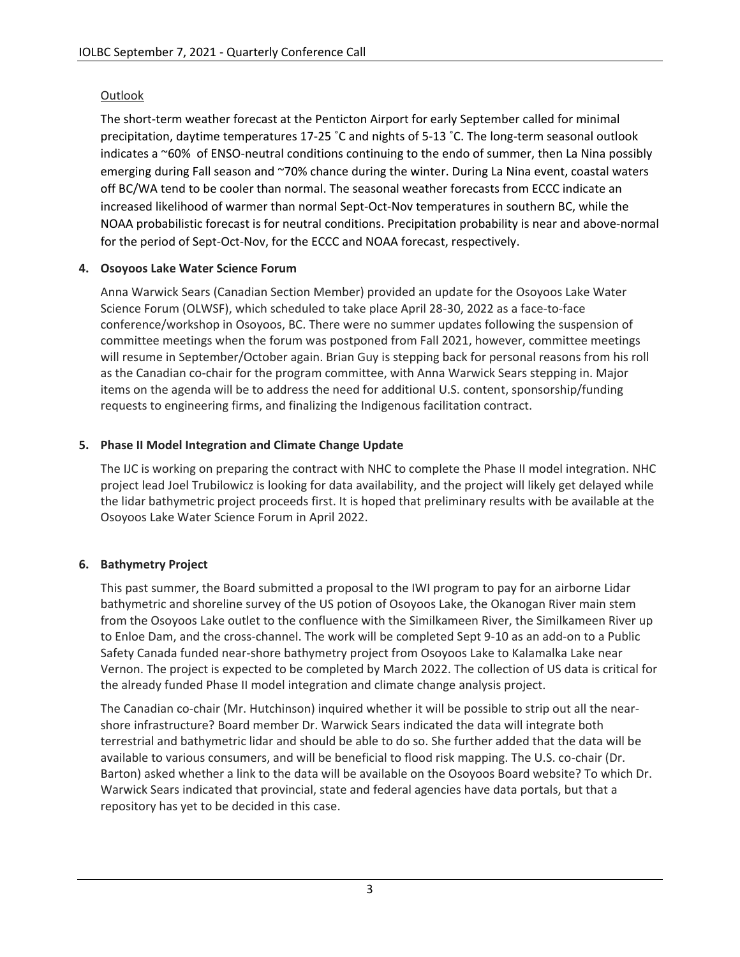# Outlook

The short-term weather forecast at the Penticton Airport for early September called for minimal precipitation, daytime temperatures 17-25 ˚C and nights of 5-13 ˚C. The long-term seasonal outlook indicates a ~60% of ENSO-neutral conditions continuing to the endo of summer, then La Nina possibly emerging during Fall season and ~70% chance during the winter. During La Nina event, coastal waters off BC/WA tend to be cooler than normal. The seasonal weather forecasts from ECCC indicate an increased likelihood of warmer than normal Sept-Oct-Nov temperatures in southern BC, while the NOAA probabilistic forecast is for neutral conditions. Precipitation probability is near and above-normal for the period of Sept-Oct-Nov, for the ECCC and NOAA forecast, respectively.

# **4. Osoyoos Lake Water Science Forum**

Anna Warwick Sears (Canadian Section Member) provided an update for the Osoyoos Lake Water Science Forum (OLWSF), which scheduled to take place April 28-30, 2022 as a face-to-face conference/workshop in Osoyoos, BC. There were no summer updates following the suspension of committee meetings when the forum was postponed from Fall 2021, however, committee meetings will resume in September/October again. Brian Guy is stepping back for personal reasons from his roll as the Canadian co-chair for the program committee, with Anna Warwick Sears stepping in. Major items on the agenda will be to address the need for additional U.S. content, sponsorship/funding requests to engineering firms, and finalizing the Indigenous facilitation contract.

# **5. Phase II Model Integration and Climate Change Update**

The IJC is working on preparing the contract with NHC to complete the Phase II model integration. NHC project lead Joel Trubilowicz is looking for data availability, and the project will likely get delayed while the lidar bathymetric project proceeds first. It is hoped that preliminary results with be available at the Osoyoos Lake Water Science Forum in April 2022.

# **6. Bathymetry Project**

This past summer, the Board submitted a proposal to the IWI program to pay for an airborne Lidar bathymetric and shoreline survey of the US potion of Osoyoos Lake, the Okanogan River main stem from the Osoyoos Lake outlet to the confluence with the Similkameen River, the Similkameen River up to Enloe Dam, and the cross-channel. The work will be completed Sept 9-10 as an add-on to a Public Safety Canada funded near-shore bathymetry project from Osoyoos Lake to Kalamalka Lake near Vernon. The project is expected to be completed by March 2022. The collection of US data is critical for the already funded Phase II model integration and climate change analysis project.

The Canadian co-chair (Mr. Hutchinson) inquired whether it will be possible to strip out all the nearshore infrastructure? Board member Dr. Warwick Sears indicated the data will integrate both terrestrial and bathymetric lidar and should be able to do so. She further added that the data will be available to various consumers, and will be beneficial to flood risk mapping. The U.S. co-chair (Dr. Barton) asked whether a link to the data will be available on the Osoyoos Board website? To which Dr. Warwick Sears indicated that provincial, state and federal agencies have data portals, but that a repository has yet to be decided in this case.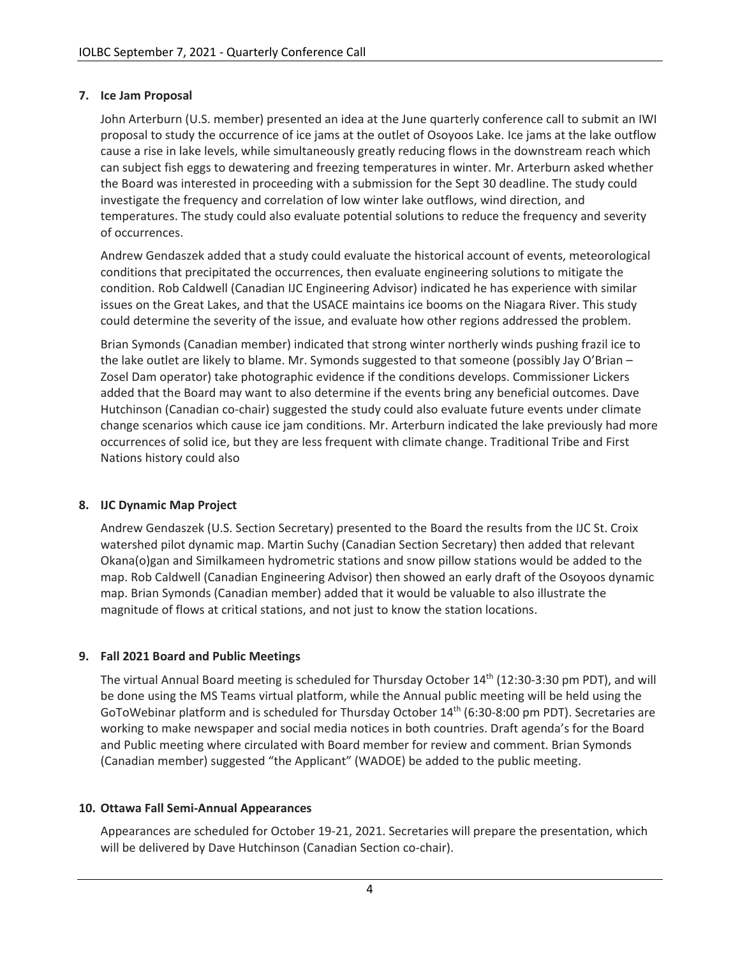## **7. Ice Jam Proposal**

John Arterburn (U.S. member) presented an idea at the June quarterly conference call to submit an IWI proposal to study the occurrence of ice jams at the outlet of Osoyoos Lake. Ice jams at the lake outflow cause a rise in lake levels, while simultaneously greatly reducing flows in the downstream reach which can subject fish eggs to dewatering and freezing temperatures in winter. Mr. Arterburn asked whether the Board was interested in proceeding with a submission for the Sept 30 deadline. The study could investigate the frequency and correlation of low winter lake outflows, wind direction, and temperatures. The study could also evaluate potential solutions to reduce the frequency and severity of occurrences.

Andrew Gendaszek added that a study could evaluate the historical account of events, meteorological conditions that precipitated the occurrences, then evaluate engineering solutions to mitigate the condition. Rob Caldwell (Canadian IJC Engineering Advisor) indicated he has experience with similar issues on the Great Lakes, and that the USACE maintains ice booms on the Niagara River. This study could determine the severity of the issue, and evaluate how other regions addressed the problem.

Brian Symonds (Canadian member) indicated that strong winter northerly winds pushing frazil ice to the lake outlet are likely to blame. Mr. Symonds suggested to that someone (possibly Jay O'Brian – Zosel Dam operator) take photographic evidence if the conditions develops. Commissioner Lickers added that the Board may want to also determine if the events bring any beneficial outcomes. Dave Hutchinson (Canadian co-chair) suggested the study could also evaluate future events under climate change scenarios which cause ice jam conditions. Mr. Arterburn indicated the lake previously had more occurrences of solid ice, but they are less frequent with climate change. Traditional Tribe and First Nations history could also

### **8. IJC Dynamic Map Project**

Andrew Gendaszek (U.S. Section Secretary) presented to the Board the results from the IJC St. Croix watershed pilot dynamic map. Martin Suchy (Canadian Section Secretary) then added that relevant Okana(o)gan and Similkameen hydrometric stations and snow pillow stations would be added to the map. Rob Caldwell (Canadian Engineering Advisor) then showed an early draft of the Osoyoos dynamic map. Brian Symonds (Canadian member) added that it would be valuable to also illustrate the magnitude of flows at critical stations, and not just to know the station locations.

### **9. Fall 2021 Board and Public Meetings**

The virtual Annual Board meeting is scheduled for Thursday October 14th (12:30-3:30 pm PDT), and will be done using the MS Teams virtual platform, while the Annual public meeting will be held using the GoToWebinar platform and is scheduled for Thursday October 14th (6:30-8:00 pm PDT). Secretaries are working to make newspaper and social media notices in both countries. Draft agenda's for the Board and Public meeting where circulated with Board member for review and comment. Brian Symonds (Canadian member) suggested "the Applicant" (WADOE) be added to the public meeting.

### **10. Ottawa Fall Semi-Annual Appearances**

Appearances are scheduled for October 19-21, 2021. Secretaries will prepare the presentation, which will be delivered by Dave Hutchinson (Canadian Section co-chair).